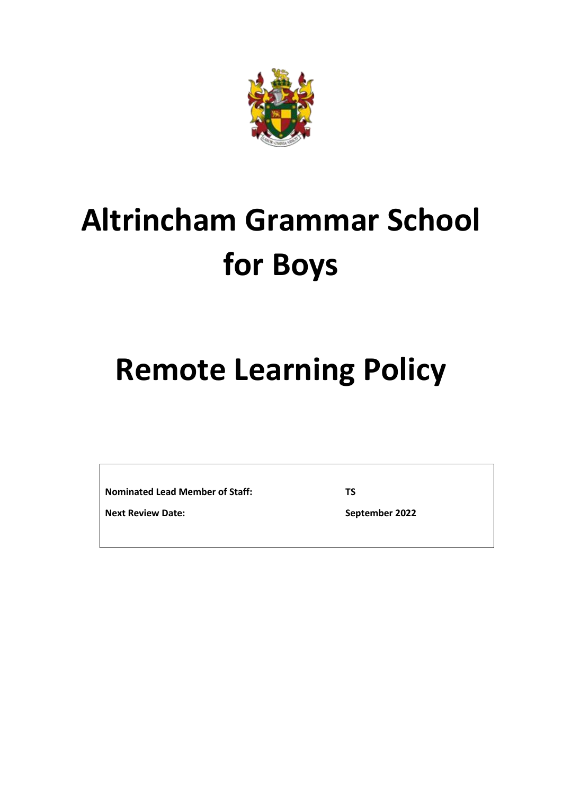

# **Altrincham Grammar School for Boys**

# **Remote Learning Policy**

**Nominated Lead Member of Staff:**

**TS**

**Next Review Date:**

**September 2022**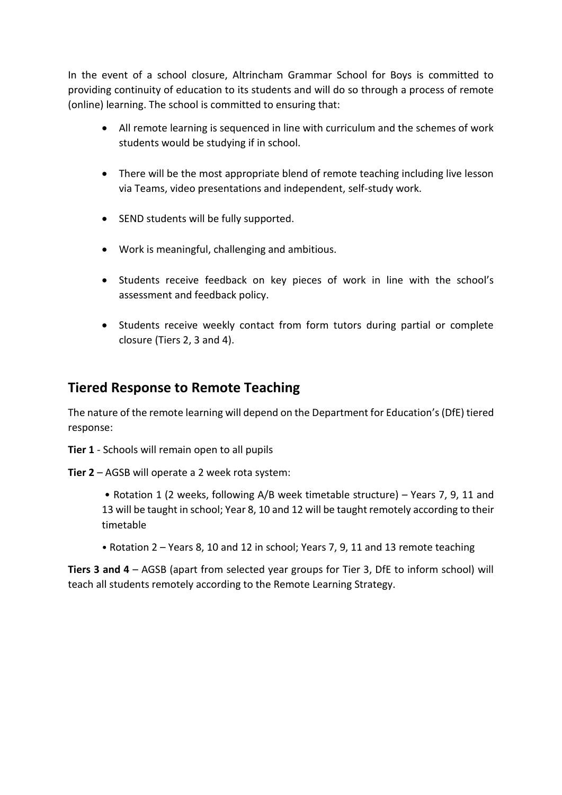In the event of a school closure, Altrincham Grammar School for Boys is committed to providing continuity of education to its students and will do so through a process of remote (online) learning. The school is committed to ensuring that:

- All remote learning is sequenced in line with curriculum and the schemes of work students would be studying if in school.
- There will be the most appropriate blend of remote teaching including live lesson via Teams, video presentations and independent, self-study work.
- SEND students will be fully supported.
- Work is meaningful, challenging and ambitious.
- Students receive feedback on key pieces of work in line with the school's assessment and feedback policy.
- Students receive weekly contact from form tutors during partial or complete closure (Tiers 2, 3 and 4).

# **Tiered Response to Remote Teaching**

The nature of the remote learning will depend on the Department for Education's(DfE) tiered response:

**Tier 1** - Schools will remain open to all pupils

- **Tier 2** AGSB will operate a 2 week rota system:
	- Rotation 1 (2 weeks, following A/B week timetable structure) Years 7, 9, 11 and 13 will be taught in school; Year 8, 10 and 12 will be taught remotely according to their timetable
	- Rotation 2 Years 8, 10 and 12 in school; Years 7, 9, 11 and 13 remote teaching

**Tiers 3 and 4** – AGSB (apart from selected year groups for Tier 3, DfE to inform school) will teach all students remotely according to the Remote Learning Strategy.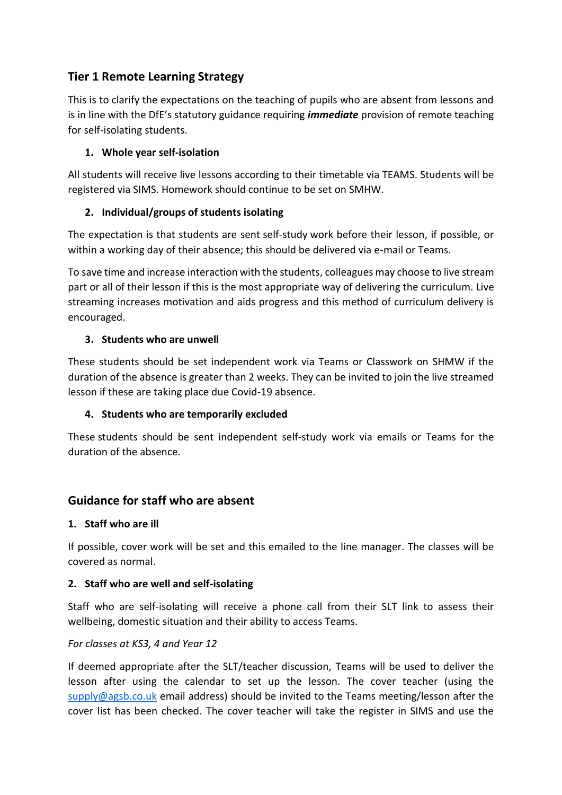# **Tier 1 Remote Learning Strategy**

This is to clarify the expectations on the teaching of pupils who are absent from lessons and is in line with the DfE's statutory guidance requiring *immediate* provision of remote teaching for self-isolating students.

#### **1. Whole year self-isolation**

All students will receive live lessons according to their timetable via TEAMS. Students will be registered via SIMS. Homework should continue to be set on SMHW.

#### **2. Individual/groups of students isolating**

The expectation is that students are sent self-study work before their lesson, if possible, or within a working day of their absence; this should be delivered via e-mail or Teams.

To save time and increase interaction with the students, colleagues may choose to live stream part or all of their lesson if this is the most appropriate way of delivering the curriculum. Live streaming increases motivation and aids progress and this method of curriculum delivery is encouraged.

#### **3. Students who are unwell**

These students should be set independent work via Teams or Classwork on SHMW if the duration of the absence is greater than 2 weeks. They can be invited to join the live streamed lesson if these are taking place due Covid-19 absence.

#### **4. Students who are temporarily excluded**

These students should be sent independent self-study work via emails or Teams for the duration of the absence.

# **Guidance for staff who are absent**

#### **1. Staff who are ill**

If possible, cover work will be set and this emailed to the line manager. The classes will be covered as normal.

#### **2. Staff who are well and self-isolating**

Staff who are self-isolating will receive a phone call from their SLT link to assess their wellbeing, domestic situation and their ability to access Teams.

#### *For classes at KS3, 4 and Year 12*

If deemed appropriate after the SLT/teacher discussion, Teams will be used to deliver the lesson after using the calendar to set up the lesson. The cover teacher (using the  $supply@agsb.co.uk$  email address) should be invited to the Teams meeting/lesson after the cover list has been checked. The cover teacher will take the register in SIMS and use the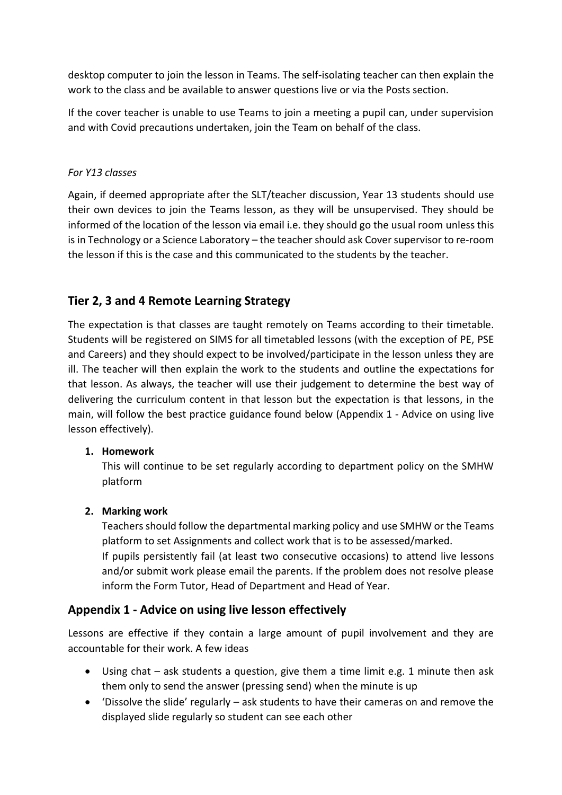desktop computer to join the lesson in Teams. The self-isolating teacher can then explain the work to the class and be available to answer questions live or via the Posts section.

If the cover teacher is unable to use Teams to join a meeting a pupil can, under supervision and with Covid precautions undertaken, join the Team on behalf of the class.

#### *For Y13 classes*

Again, if deemed appropriate after the SLT/teacher discussion, Year 13 students should use their own devices to join the Teams lesson, as they will be unsupervised. They should be informed of the location of the lesson via email i.e. they should go the usual room unless this is in Technology or a Science Laboratory – the teacher should ask Cover supervisor to re-room the lesson if this is the case and this communicated to the students by the teacher.

# **Tier 2, 3 and 4 Remote Learning Strategy**

The expectation is that classes are taught remotely on Teams according to their timetable. Students will be registered on SIMS for all timetabled lessons (with the exception of PE, PSE and Careers) and they should expect to be involved/participate in the lesson unless they are ill. The teacher will then explain the work to the students and outline the expectations for that lesson. As always, the teacher will use their judgement to determine the best way of delivering the curriculum content in that lesson but the expectation is that lessons, in the main, will follow the best practice guidance found below (Appendix 1 - Advice on using live lesson effectively).

#### **1. Homework**

This will continue to be set regularly according to department policy on the SMHW platform

#### **2. Marking work**

Teachers should follow the departmental marking policy and use SMHW or the Teams platform to set Assignments and collect work that is to be assessed/marked.

If pupils persistently fail (at least two consecutive occasions) to attend live lessons and/or submit work please email the parents. If the problem does not resolve please inform the Form Tutor, Head of Department and Head of Year.

# **Appendix 1 - Advice on using live lesson effectively**

Lessons are effective if they contain a large amount of pupil involvement and they are accountable for their work. A few ideas

- Using chat ask students a question, give them a time limit e.g. 1 minute then ask them only to send the answer (pressing send) when the minute is up
- 'Dissolve the slide' regularly ask students to have their cameras on and remove the displayed slide regularly so student can see each other